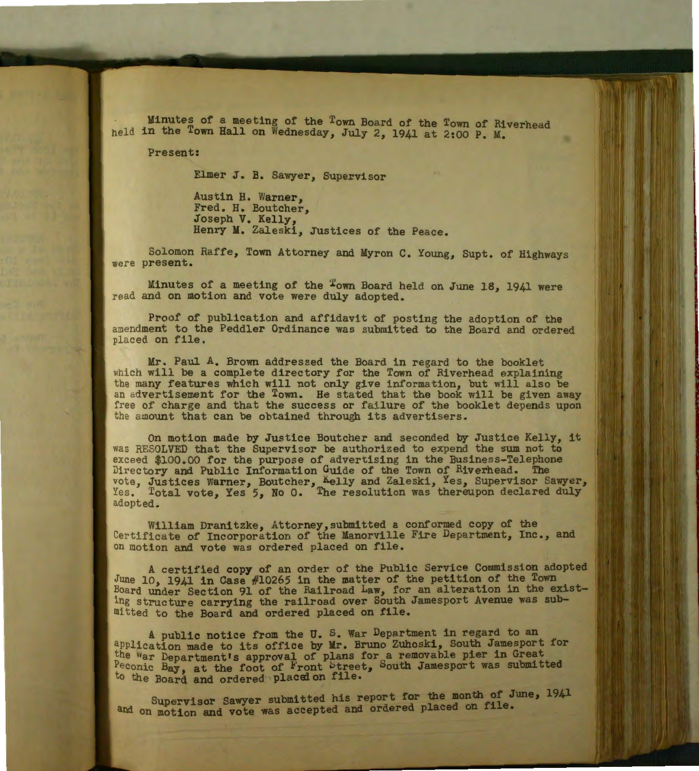Minutes of a meeting of the Town Board of the Town of Riverhead held in the Town Hall on Wednesday, July 2, 1941 at 2:00 P. M.

Present:

Elmer J. B. Sawyer, Supervisor

Austin H. Warner, Fred. H. Boutcher, Joseph V. Kelly, Henry M. Zaleski, Justices of the Peace.

Solomon Raffe, Town Attorney and Myron C. Young, Supt. of Highways were present.

Minutes of a meeting of the "own Board held on June 18, 1941 were read and on motion and vote were duly adopted. '

Proof of publication and affidavit of posting the adoption of the amendment to the Peddler Ordinance was submitted to the Board and ordered placed on file.

Mr. Paul A. Brown addressed the Board in regard to the booklet which will be a complete directory for the Town of Riverhead explaining the many features which will not only give information, but will also be an advertisement for the Town. He stated that the book will be given away free of charge and that the success or failure of the booklet depends upon the amount that can be obtained through its advertisers.

On motion made by Justice Boutcher and seconded by Justice Kelly, it was RESOLVED that the Supervisor be authorized to expend the sum not to exceed \$100.00 for the purpose of advertising in the Business~Telephone Directory and Public Information Guide of the Town of Riverhead. The vote, Justices Warner, Boutcher, Kelly and Zaleski, Yes, Supervisor Sawyer, Yes. Total vote, Yes 5, No 0. The resolution was thereupon declared duly adopted.

William Dranitzke, Attorney,submitted a conformed copy of the Certificate of Incorporation of the Manorville Fire Department, Inc., and on motion and vote was ordered placed on file.

A certified copy of an order of the Public Service Commission adopted June 10, 1941 in Case #10265 in the matter of the petition of the Town Board under Section 91 of the Railroad Law, for an alteration in the existing structure carrying the railroad over South Jamesport Avenue was submitted to the Board and ordered placed on file.

A public notice from the U. S. War Department in regard to an application made to its office by Mr. Bruno Zuhoski, South Jamesport for the War Department's approval of plans for a removable pier in Great Peconic Bay, at the foot of Front btreet, South Jamesport was submitted to the Board and ordered placed on file.

Supervisor sawyer submitted his report for the month of June, 1941 and on motion and vote was accepted and ordered placed on file.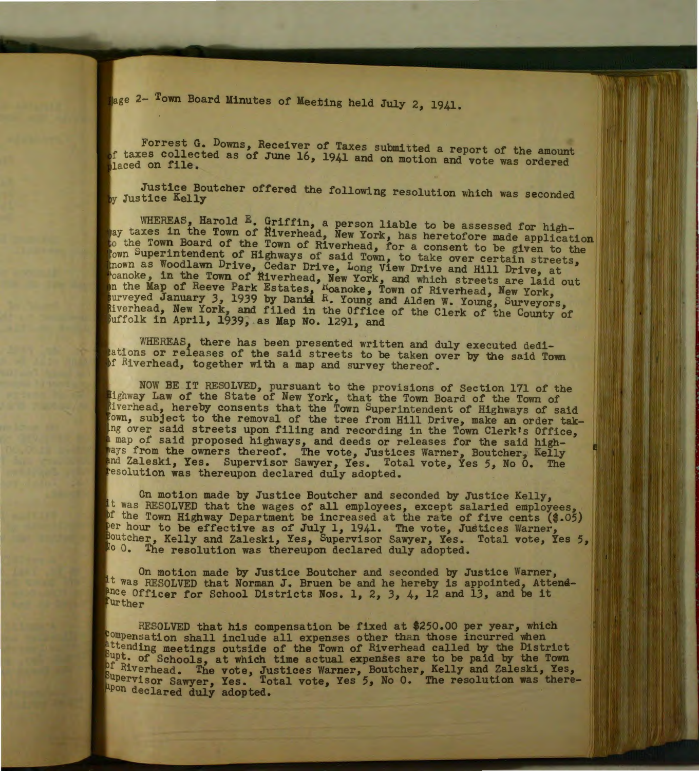lage 2- Town Board Minutes of Meeting held July 2, 1941.

Forrest G. Dovms, Receiver of Taxes submitted a report of the amount of taxes collected as of June 16, 1941 and on motion and vote was ordered

Justice Boutcher offered the following resolution which was seconded Justice Kelly

WHEREAS, Harold E. Griffin, a person liable to be assessed for hightaxes in the Town of Riverhead, New York, has heretofore made application to the Town Board of the Town of Riverhead, for a consent to be given to the buperintendent of Highways of said Town, to take over certain streets,<br>n as Woodlawn Drive, Cedar Drive, Long View Drive and Hill Drive, at<br>oke, in the Town of Riverhead, New York, and which streets are laid out the Map of Reeve Park Estates, Roanoke, Town of Riverhead, New York, urveyed January 3, 1939 by Danid R. Young and Alden W. Young, Surveyors, verhead, New York, and filed in the Office of the Clerk of the County of uffolk in April, 1939, as Map No. 1291, and

WHEREAS, there has been presented written and duly executed dediations or releases of the said streets to be taken over by the said Town of Riverhead, together with a map and survey thereof.

NOW BE IT RESOLVED, pursuant to the provisions of Section 171 of the lighway Law of the State of New York, that the Town Board of the Town of diverhead, hereby consents that the Town Superintendent of Highways of said fown, subject to the removal of the tree from Hill Drive, make an order tak-Ing over said streets upon filing and recording in the Town Clerk's Office, map of said proposed highways, and deeds or releases for the said highs from the owners thereof. The vote, Justices Warner, Boutcher, Kelly Zaleski, Yes. Supervisor Sawyer, Yes. Total vote, Yes 5, No 0. The esolution was thereupon declared duly adopted.

On motion made by Justice Boutcher and seconded by Justice Kelly, t was RESOLVED that the wages of all employees, except salaried employees, of the Town Highway Department be increased at the rate of five cents (\$.05) hour to be effective as of July 1, 1941. The vote, Justices Warner, tcher, Kelly and Zaleski, Yes, Supervisor Sawyer, Yes. Total vote, Yes 5, o O. The resolution was thereupon declared duly adopted.

On motion made by Justice Boutcher and seconded by Justice Warner, It was RESOLVED that Norman J. Bruen be and he hereby is appointed, Attendance Officer for School Districts Nos. 1, 2, 3, 4, 12 and 13, and be it further

RESOLVED that his compensation be fixed at \$250.00 per year, which compensation shall include all expenses other than those incurred when attending meetings outside of the Town of Riverhead called by the District • of Schools, at which time actual expenses are to be paid by the Town Riverhead. The vote, Justices Warner, Boutcher, Kelly and Zalesk1, Yes, rvisor Sawyer, Yes. Total vote, Yes 5, No 0. The resolution was there-Apon declared duly adopted.